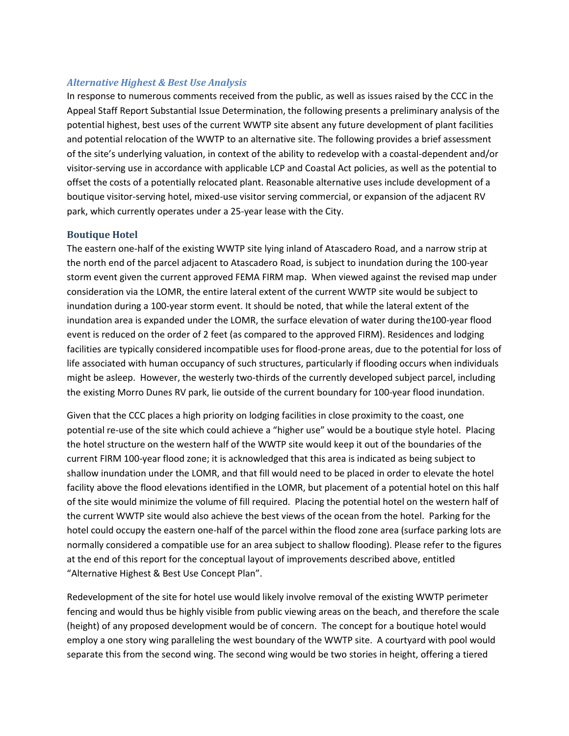#### *Alternative Highest & Best Use Analysis*

In response to numerous comments received from the public, as well as issues raised by the CCC in the Appeal Staff Report Substantial Issue Determination, the following presents a preliminary analysis of the potential highest, best uses of the current WWTP site absent any future development of plant facilities and potential relocation of the WWTP to an alternative site. The following provides a brief assessment of the site's underlying valuation, in context of the ability to redevelop with a coastal-dependent and/or visitor-serving use in accordance with applicable LCP and Coastal Act policies, as well as the potential to offset the costs of a potentially relocated plant. Reasonable alternative uses include development of a boutique visitor-serving hotel, mixed-use visitor serving commercial, or expansion of the adjacent RV park, which currently operates under a 25-year lease with the City.

#### **Boutique Hotel**

The eastern one-half of the existing WWTP site lying inland of Atascadero Road, and a narrow strip at the north end of the parcel adjacent to Atascadero Road, is subject to inundation during the 100-year storm event given the current approved FEMA FIRM map. When viewed against the revised map under consideration via the LOMR, the entire lateral extent of the current WWTP site would be subject to inundation during a 100-year storm event. It should be noted, that while the lateral extent of the inundation area is expanded under the LOMR, the surface elevation of water during the100-year flood event is reduced on the order of 2 feet (as compared to the approved FIRM). Residences and lodging facilities are typically considered incompatible uses for flood-prone areas, due to the potential for loss of life associated with human occupancy of such structures, particularly if flooding occurs when individuals might be asleep. However, the westerly two-thirds of the currently developed subject parcel, including the existing Morro Dunes RV park, lie outside of the current boundary for 100-year flood inundation.

Given that the CCC places a high priority on lodging facilities in close proximity to the coast, one potential re-use of the site which could achieve a "higher use" would be a boutique style hotel. Placing the hotel structure on the western half of the WWTP site would keep it out of the boundaries of the current FIRM 100-year flood zone; it is acknowledged that this area is indicated as being subject to shallow inundation under the LOMR, and that fill would need to be placed in order to elevate the hotel facility above the flood elevations identified in the LOMR, but placement of a potential hotel on this half of the site would minimize the volume of fill required. Placing the potential hotel on the western half of the current WWTP site would also achieve the best views of the ocean from the hotel. Parking for the hotel could occupy the eastern one-half of the parcel within the flood zone area (surface parking lots are normally considered a compatible use for an area subject to shallow flooding). Please refer to the figures at the end of this report for the conceptual layout of improvements described above, entitled "Alternative Highest & Best Use Concept Plan".

Redevelopment of the site for hotel use would likely involve removal of the existing WWTP perimeter fencing and would thus be highly visible from public viewing areas on the beach, and therefore the scale (height) of any proposed development would be of concern. The concept for a boutique hotel would employ a one story wing paralleling the west boundary of the WWTP site. A courtyard with pool would separate this from the second wing. The second wing would be two stories in height, offering a tiered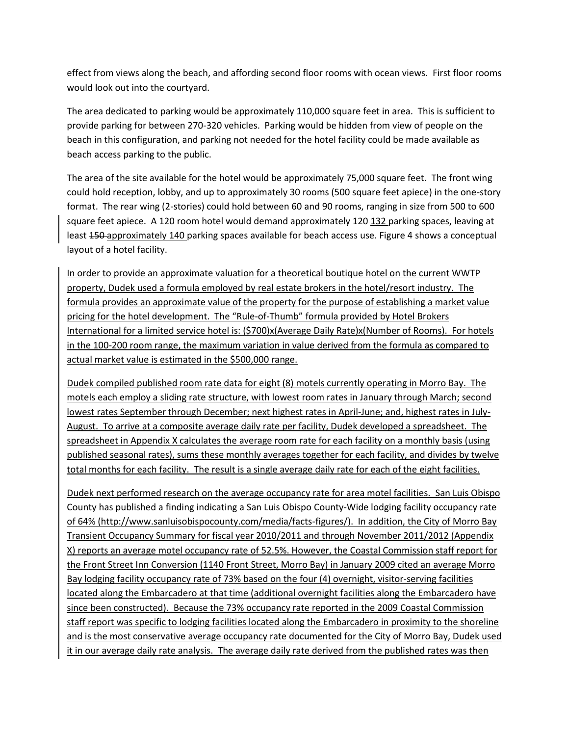effect from views along the beach, and affording second floor rooms with ocean views. First floor rooms would look out into the courtyard.

The area dedicated to parking would be approximately 110,000 square feet in area. This is sufficient to provide parking for between 270-320 vehicles. Parking would be hidden from view of people on the beach in this configuration, and parking not needed for the hotel facility could be made available as beach access parking to the public.

The area of the site available for the hotel would be approximately 75,000 square feet. The front wing could hold reception, lobby, and up to approximately 30 rooms (500 square feet apiece) in the one-story format. The rear wing (2-stories) could hold between 60 and 90 rooms, ranging in size from 500 to 600 square feet apiece. A 120 room hotel would demand approximately 420-132 parking spaces, leaving at least 450-approximately 140 parking spaces available for beach access use. Figure 4 shows a conceptual layout of a hotel facility.

In order to provide an approximate valuation for a theoretical boutique hotel on the current WWTP property, Dudek used a formula employed by real estate brokers in the hotel/resort industry. The formula provides an approximate value of the property for the purpose of establishing a market value pricing for the hotel development. The "Rule-of-Thumb" formula provided by Hotel Brokers International for a limited service hotel is: (\$700)x(Average Daily Rate)x(Number of Rooms). For hotels in the 100-200 room range, the maximum variation in value derived from the formula as compared to actual market value is estimated in the \$500,000 range.

Dudek compiled published room rate data for eight (8) motels currently operating in Morro Bay. The motels each employ a sliding rate structure, with lowest room rates in January through March; second lowest rates September through December; next highest rates in April-June; and, highest rates in July-August. To arrive at a composite average daily rate per facility, Dudek developed a spreadsheet. The spreadsheet in Appendix X calculates the average room rate for each facility on a monthly basis (using published seasonal rates), sums these monthly averages together for each facility, and divides by twelve total months for each facility. The result is a single average daily rate for each of the eight facilities.

Dudek next performed research on the average occupancy rate for area motel facilities. San Luis Obispo County has published a finding indicating a San Luis Obispo County-Wide lodging facility occupancy rate of 64% [\(http://www.sanluisobispocounty.com/media/facts-figures/\)](http://www.sanluisobispocounty.com/media/facts-figures/). In addition, the City of Morro Bay Transient Occupancy Summary for fiscal year 2010/2011 and through November 2011/2012 (Appendix X) reports an average motel occupancy rate of 52.5%. However, the Coastal Commission staff report for the Front Street Inn Conversion (1140 Front Street, Morro Bay) in January 2009 cited an average Morro Bay lodging facility occupancy rate of 73% based on the four (4) overnight, visitor-serving facilities located along the Embarcadero at that time (additional overnight facilities along the Embarcadero have since been constructed). Because the 73% occupancy rate reported in the 2009 Coastal Commission staff report was specific to lodging facilities located along the Embarcadero in proximity to the shoreline and is the most conservative average occupancy rate documented for the City of Morro Bay, Dudek used it in our average daily rate analysis. The average daily rate derived from the published rates was then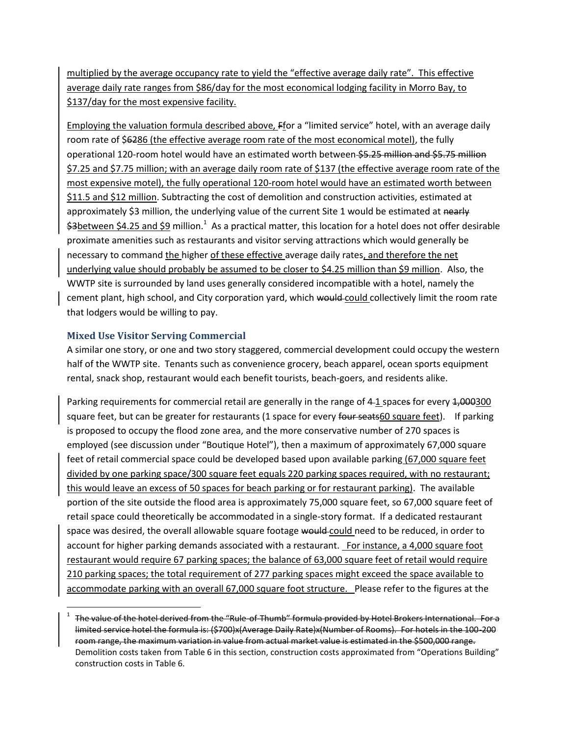multiplied by the average occupancy rate to yield the "effective average daily rate". This effective average daily rate ranges from \$86/day for the most economical lodging facility in Morro Bay, to \$137/day for the most expensive facility.

Employing the valuation formula described above, Ffor a "limited service" hotel, with an average daily room rate of \$6286 (the effective average room rate of the most economical motel), the fully operational 120-room hotel would have an estimated worth between \$5.25 million and \$5.75 million \$7.25 and \$7.75 million; with an average daily room rate of \$137 (the effective average room rate of the most expensive motel), the fully operational 120-room hotel would have an estimated worth between \$11.5 and \$12 million. Subtracting the cost of demolition and construction activities, estimated at approximately \$3 million, the underlying value of the current Site 1 would be estimated at nearly \$3between \$4.25 and \$9 million.<sup>1</sup> As a practical matter, this location for a hotel does not offer desirable proximate amenities such as restaurants and visitor serving attractions which would generally be necessary to command the higher of these effective average daily rates, and therefore the net underlying value should probably be assumed to be closer to \$4.25 million than \$9 million. Also, the WWTP site is surrounded by land uses generally considered incompatible with a hotel, namely the cement plant, high school, and City corporation yard, which would collectively limit the room rate that lodgers would be willing to pay.

## **Mixed Use Visitor Serving Commercial**

l

A similar one story, or one and two story staggered, commercial development could occupy the western half of the WWTP site. Tenants such as convenience grocery, beach apparel, ocean sports equipment rental, snack shop, restaurant would each benefit tourists, beach-goers, and residents alike.

Parking requirements for commercial retail are generally in the range of 4-1 spaces for every 4,000300 square feet, but can be greater for restaurants (1 space for every four seats60 square feet). If parking is proposed to occupy the flood zone area, and the more conservative number of 270 spaces is employed (see discussion under "Boutique Hotel"), then a maximum of approximately 67,000 square feet of retail commercial space could be developed based upon available parking (67,000 square feet divided by one parking space/300 square feet equals 220 parking spaces required, with no restaurant; this would leave an excess of 50 spaces for beach parking or for restaurant parking). The available portion of the site outside the flood area is approximately 75,000 square feet, so 67,000 square feet of retail space could theoretically be accommodated in a single-story format. If a dedicated restaurant space was desired, the overall allowable square footage would could need to be reduced, in order to account for higher parking demands associated with a restaurant. For instance, a 4,000 square foot restaurant would require 67 parking spaces; the balance of 63,000 square feet of retail would require 210 parking spaces; the total requirement of 277 parking spaces might exceed the space available to accommodate parking with an overall 67,000 square foot structure. Please refer to the figures at the

 $^{\rm 1}\,$  The value of the hotel derived from the "Rule-of-Thumb" formula provided by Hotel Brokers International. For a limited service hotel the formula is: (\$700)x(Average Daily Rate)x(Number of Rooms). For hotels in the 100-200 room range, the maximum variation in value from actual market value is estimated in the \$500,000 range. Demolition costs taken from Table 6 in this section, construction costs approximated from "Operations Building" construction costs in Table 6.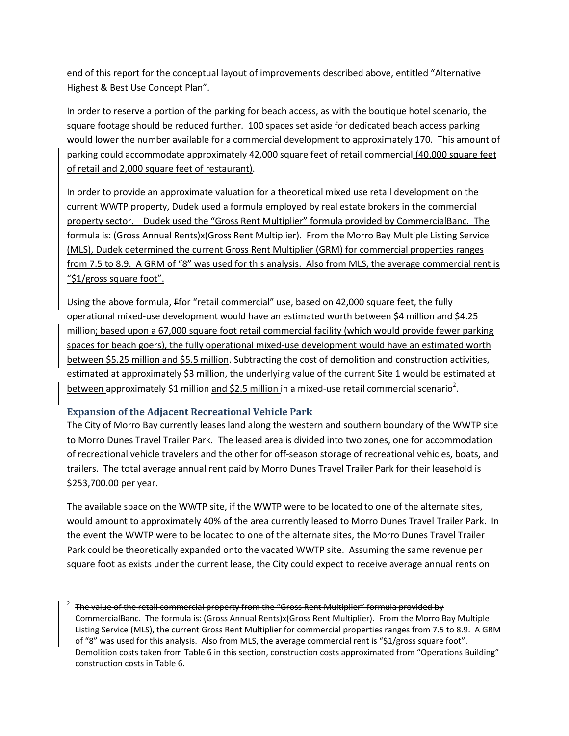end of this report for the conceptual layout of improvements described above, entitled "Alternative Highest & Best Use Concept Plan".

In order to reserve a portion of the parking for beach access, as with the boutique hotel scenario, the square footage should be reduced further. 100 spaces set aside for dedicated beach access parking would lower the number available for a commercial development to approximately 170. This amount of parking could accommodate approximately 42,000 square feet of retail commercial (40,000 square feet of retail and 2,000 square feet of restaurant).

In order to provide an approximate valuation for a theoretical mixed use retail development on the current WWTP property, Dudek used a formula employed by real estate brokers in the commercial property sector. Dudek used the "Gross Rent Multiplier" formula provided by CommercialBanc. The formula is: (Gross Annual Rents)x(Gross Rent Multiplier). From the Morro Bay Multiple Listing Service (MLS), Dudek determined the current Gross Rent Multiplier (GRM) for commercial properties ranges from 7.5 to 8.9. A GRM of "8" was used for this analysis. Also from MLS, the average commercial rent is "\$1/gross square foot".

Using the above formula, Ffor "retail commercial" use, based on 42,000 square feet, the fully operational mixed-use development would have an estimated worth between \$4 million and \$4.25 million; based upon a 67,000 square foot retail commercial facility (which would provide fewer parking spaces for beach goers), the fully operational mixed-use development would have an estimated worth between \$5.25 million and \$5.5 million. Subtracting the cost of demolition and construction activities, estimated at approximately \$3 million, the underlying value of the current Site 1 would be estimated at between approximately \$1 million and \$2.5 million in a mixed-use retail commercial scenario<sup>2</sup>.

## **Expansion of the Adjacent Recreational Vehicle Park**

 $\overline{a}$ 

The City of Morro Bay currently leases land along the western and southern boundary of the WWTP site to Morro Dunes Travel Trailer Park. The leased area is divided into two zones, one for accommodation of recreational vehicle travelers and the other for off-season storage of recreational vehicles, boats, and trailers. The total average annual rent paid by Morro Dunes Travel Trailer Park for their leasehold is \$253,700.00 per year.

The available space on the WWTP site, if the WWTP were to be located to one of the alternate sites, would amount to approximately 40% of the area currently leased to Morro Dunes Travel Trailer Park. In the event the WWTP were to be located to one of the alternate sites, the Morro Dunes Travel Trailer Park could be theoretically expanded onto the vacated WWTP site. Assuming the same revenue per square foot as exists under the current lease, the City could expect to receive average annual rents on

<sup>2</sup> The value of the retail commercial property from the "Gross Rent Multiplier" formula provided by CommercialBanc. The formula is: (Gross Annual Rents)x(Gross Rent Multiplier). From the Morro Bay Multiple Listing Service (MLS), the current Gross Rent Multiplier for commercial properties ranges from 7.5 to 8.9. A GRM of "8" was used for this analysis. Also from MLS, the average commercial rent is "\$1/gross square foot". Demolition costs taken from Table 6 in this section, construction costs approximated from "Operations Building" construction costs in Table 6.